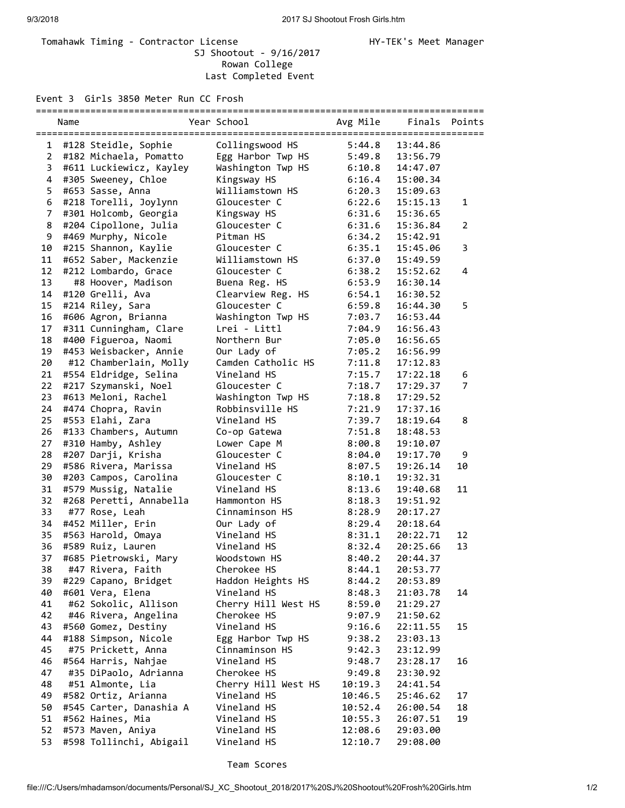## Tomahawk Timing - Contractor License Manager Manager HY-TEK's Meet Manager SJ Shootout - 9/16/2017 Rowan College Last Completed Event

Event 3 Girls 3850 Meter Run CC Frosh

| ===========             |      |                         |                     |          |          |                |  |  |  |  |  |
|-------------------------|------|-------------------------|---------------------|----------|----------|----------------|--|--|--|--|--|
|                         | Name |                         | Year School         | Avg Mile | Finals   | Points         |  |  |  |  |  |
| 1                       |      | #128 Steidle, Sophie    | Collingswood HS     | 5:44.8   | 13:44.86 |                |  |  |  |  |  |
| $\overline{2}$          |      | #182 Michaela, Pomatto  | Egg Harbor Twp HS   | 5:49.8   | 13:56.79 |                |  |  |  |  |  |
| 3                       |      | #611 Luckiewicz, Kayley | Washington Twp HS   | 6:10.8   | 14:47.07 |                |  |  |  |  |  |
| $\overline{\mathbf{4}}$ |      | #305 Sweeney, Chloe     | Kingsway HS         | 6:16.4   | 15:00.34 |                |  |  |  |  |  |
| 5                       |      | #653 Sasse, Anna        | Williamstown HS     | 6:20.3   | 15:09.63 |                |  |  |  |  |  |
| 6                       |      | #218 Torelli, Joylynn   | Gloucester C        | 6:22.6   | 15:15.13 | 1              |  |  |  |  |  |
| $\overline{7}$          |      | #301 Holcomb, Georgia   | Kingsway HS         | 6:31.6   | 15:36.65 |                |  |  |  |  |  |
| 8                       |      | #204 Cipollone, Julia   | Gloucester C        | 6:31.6   | 15:36.84 | $\overline{2}$ |  |  |  |  |  |
| 9                       |      | #469 Murphy, Nicole     | Pitman HS           | 6:34.2   | 15:42.91 |                |  |  |  |  |  |
| 10                      |      | #215 Shannon, Kaylie    | Gloucester C        | 6:35.1   | 15:45.06 | 3              |  |  |  |  |  |
| 11                      |      | #652 Saber, Mackenzie   | Williamstown HS     | 6:37.0   | 15:49.59 |                |  |  |  |  |  |
| 12                      |      | #212 Lombardo, Grace    | Gloucester C        | 6:38.2   | 15:52.62 | 4              |  |  |  |  |  |
| 13                      |      | #8 Hoover, Madison      | Buena Reg. HS       | 6:53.9   | 16:30.14 |                |  |  |  |  |  |
| 14                      |      | #120 Grelli, Ava        | Clearview Reg. HS   | 6:54.1   | 16:30.52 |                |  |  |  |  |  |
| 15                      |      | #214 Riley, Sara        | Gloucester C        | 6:59.8   | 16:44.30 | 5              |  |  |  |  |  |
| 16                      |      | #606 Agron, Brianna     | Washington Twp HS   | 7:03.7   | 16:53.44 |                |  |  |  |  |  |
| 17                      |      | #311 Cunningham, Clare  | Lrei - Littl        | 7:04.9   | 16:56.43 |                |  |  |  |  |  |
| 18                      |      | #400 Figueroa, Naomi    | Northern Bur        | 7:05.0   | 16:56.65 |                |  |  |  |  |  |
| 19                      |      | #453 Weisbacker, Annie  | Our Lady of         | 7:05.2   | 16:56.99 |                |  |  |  |  |  |
| 20                      |      | #12 Chamberlain, Molly  | Camden Catholic HS  | 7:11.8   | 17:12.83 |                |  |  |  |  |  |
| 21                      |      | #554 Eldridge, Selina   | Vineland HS         | 7:15.7   | 17:22.18 | 6              |  |  |  |  |  |
| 22                      |      | #217 Szymanski, Noel    | Gloucester C        | 7:18.7   | 17:29.37 | $\overline{7}$ |  |  |  |  |  |
| 23                      |      | #613 Meloni, Rachel     | Washington Twp HS   | 7:18.8   | 17:29.52 |                |  |  |  |  |  |
| 24                      |      | #474 Chopra, Ravin      | Robbinsville HS     | 7:21.9   | 17:37.16 |                |  |  |  |  |  |
| 25                      |      | #553 Elahi, Zara        | Vineland HS         | 7:39.7   | 18:19.64 | 8              |  |  |  |  |  |
| 26                      |      | #133 Chambers, Autumn   | Co-op Gatewa        | 7:51.8   | 18:48.53 |                |  |  |  |  |  |
| 27                      |      | #310 Hamby, Ashley      | Lower Cape M        | 8:00.8   | 19:10.07 |                |  |  |  |  |  |
| 28                      |      | #207 Darji, Krisha      | Gloucester C        | 8:04.0   | 19:17.70 | 9              |  |  |  |  |  |
| 29                      |      | #586 Rivera, Marissa    | Vineland HS         | 8:07.5   | 19:26.14 | 10             |  |  |  |  |  |
| 30                      |      | #203 Campos, Carolina   | Gloucester C        | 8:10.1   | 19:32.31 |                |  |  |  |  |  |
| 31                      |      | #579 Mussig, Natalie    | Vineland HS         | 8:13.6   | 19:40.68 | 11             |  |  |  |  |  |
| 32                      |      | #268 Peretti, Annabella | Hammonton HS        | 8:18.3   | 19:51.92 |                |  |  |  |  |  |
| 33                      |      | #77 Rose, Leah          | Cinnaminson HS      | 8:28.9   | 20:17.27 |                |  |  |  |  |  |
| 34                      |      | #452 Miller, Erin       | Our Lady of         | 8:29.4   | 20:18.64 |                |  |  |  |  |  |
| 35                      |      | #563 Harold, Omaya      | Vineland HS         | 8:31.1   | 20:22.71 | 12             |  |  |  |  |  |
| 36                      |      | #589 Ruiz, Lauren       | Vineland HS         | 8:32.4   | 20:25.66 | 13             |  |  |  |  |  |
| 37                      |      | #685 Pietrowski, Mary   | Woodstown HS        | 8:40.2   | 20:44.37 |                |  |  |  |  |  |
| 38                      |      | #47 Rivera, Faith       | Cherokee HS         | 8:44.1   | 20:53.77 |                |  |  |  |  |  |
| 39                      |      | #229 Capano, Bridget    | Haddon Heights HS   | 8:44.2   | 20:53.89 |                |  |  |  |  |  |
| 40                      |      | #601 Vera, Elena        | Vineland HS         | 8:48.3   | 21:03.78 | 14             |  |  |  |  |  |
| 41                      |      | #62 Sokolic, Allison    | Cherry Hill West HS | 8:59.0   | 21:29.27 |                |  |  |  |  |  |
| 42                      |      | #46 Rivera, Angelina    | Cherokee HS         | 9:07.9   | 21:50.62 |                |  |  |  |  |  |
| 43                      |      | #560 Gomez, Destiny     | Vineland HS         | 9:16.6   | 22:11.55 | 15             |  |  |  |  |  |
| 44                      |      | #188 Simpson, Nicole    | Egg Harbor Twp HS   | 9:38.2   | 23:03.13 |                |  |  |  |  |  |
| 45                      |      | #75 Prickett, Anna      | Cinnaminson HS      | 9:42.3   | 23:12.99 |                |  |  |  |  |  |
| 46                      |      | #564 Harris, Nahjae     | Vineland HS         | 9:48.7   | 23:28.17 | 16             |  |  |  |  |  |
| 47                      |      | #35 DiPaolo, Adrianna   | Cherokee HS         | 9:49.8   | 23:30.92 |                |  |  |  |  |  |
| 48                      |      | #51 Almonte, Lia        | Cherry Hill West HS | 10:19.3  | 24:41.54 |                |  |  |  |  |  |
| 49                      |      | #582 Ortiz, Arianna     | Vineland HS         | 10:46.5  | 25:46.62 | 17             |  |  |  |  |  |
| 50                      |      | #545 Carter, Danashia A | Vineland HS         | 10:52.4  | 26:00.54 | 18             |  |  |  |  |  |
| 51                      |      | #562 Haines, Mia        | Vineland HS         | 10:55.3  | 26:07.51 | 19             |  |  |  |  |  |
| 52                      |      | #573 Maven, Aniya       | Vineland HS         | 12:08.6  | 29:03.00 |                |  |  |  |  |  |
| 53                      |      | #598 Tollinchi, Abigail | Vineland HS         | 12:10.7  | 29:08.00 |                |  |  |  |  |  |
|                         |      |                         |                     |          |          |                |  |  |  |  |  |

## Team Scores